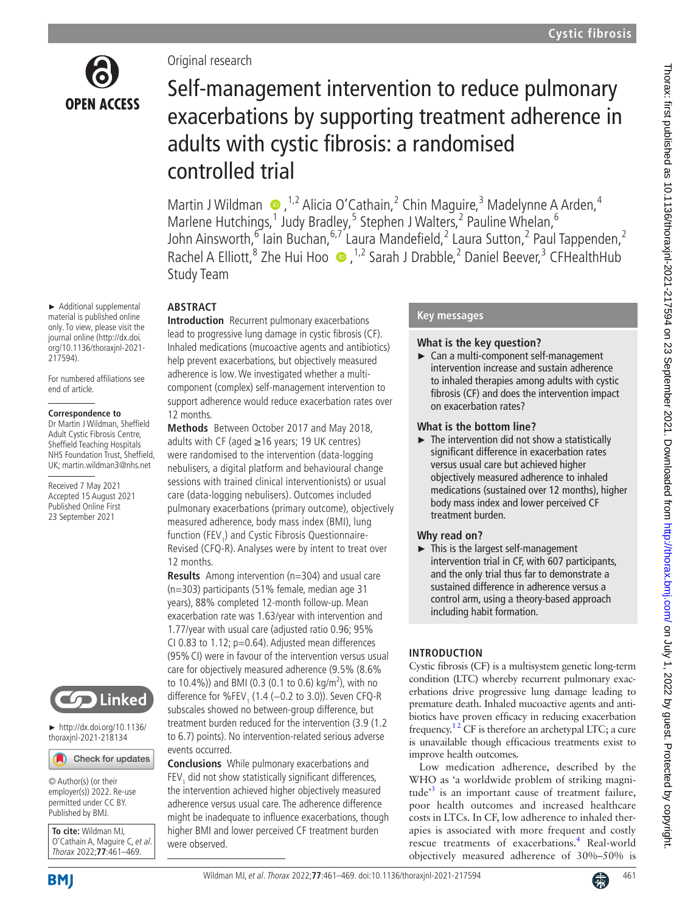

# Original research

# Self-management intervention to reduce pulmonary exacerbations by supporting treatment adherence in adults with cystic fibrosis: a randomised controlled trial

MartinJ Wildman  $\bullet$ ,<sup>1,2</sup> Alicia O'Cathain,<sup>2</sup> Chin Maguire,<sup>3</sup> Madelynne A Arden,<sup>4</sup> Marlene Hutchings,<sup>1</sup> Judy Bradley,<sup>5</sup> Stephen J Walters,<sup>2</sup> Pauline Whelan,<sup>6</sup> John Ainsworth,  $\delta$  lain Buchan,  $\delta$ ,  $\delta$  Laura Mandefield,  $\delta$  Laura Sutton,  $\delta$  Paul Tappenden,  $\delta$ Rachel A Elliott,<sup>8</sup> Zhe Hui Hoo  $\bullet$ , <sup>1,2</sup> Sarah J Drabble,<sup>2</sup> Daniel Beever,<sup>3</sup> CFHealthHub Study Team

# **ABSTRACT**

**Introduction** Recurrent pulmonary exacerbations lead to progressive lung damage in cystic fibrosis (CF). Inhaled medications (mucoactive agents and antibiotics) help prevent exacerbations, but objectively measured adherence is low. We investigated whether a multicomponent (complex) self-management intervention to support adherence would reduce exacerbation rates over 12 months.

**Methods** Between October 2017 and May 2018, adults with CF (aged ≥16 years; 19 UK centres) were randomised to the intervention (data-logging nebulisers, a digital platform and behavioural change sessions with trained clinical interventionists) or usual care (data-logging nebulisers). Outcomes included pulmonary exacerbations (primary outcome), objectively measured adherence, body mass index (BMI), lung function (FEV<sub>1</sub>) and Cystic Fibrosis Questionnaire-Revised (CFQ-R). Analyses were by intent to treat over 12 months.

**Results** Among intervention (n=304) and usual care (n=303) participants (51% female, median age 31 years), 88% completed 12-month follow-up. Mean exacerbation rate was 1.63/year with intervention and 1.77/year with usual care (adjusted ratio 0.96; 95% CI 0.83 to 1.12; p=0.64). Adjusted mean differences (95%CI) were in favour of the intervention versus usual care for objectively measured adherence (9.5% (8.6% to 10.4%)) and BMI (0.3 (0.1 to 0.6) kg/m<sup>2</sup>), with no difference for %FEV<sub>1</sub> (1.4 (−0.2 to 3.0)). Seven CFQ-R subscales showed no between-group difference, but treatment burden reduced for the intervention (3.9 (1.2 to 6.7) points). No intervention-related serious adverse events occurred.

**Conclusions** While pulmonary exacerbations and FEV<sub>1</sub> did not show statistically significant differences, the intervention achieved higher objectively measured adherence versus usual care. The adherence difference might be inadequate to influence exacerbations, though higher BMI and lower perceived CF treatment burden were observed.

## **Key messages**

# **What is the key question?**

► Can a multi-component self-management intervention increase and sustain adherence to inhaled therapies among adults with cystic fibrosis (CF) and does the intervention impact on exacerbation rates?

# **What is the bottom line?**

 $\blacktriangleright$  The intervention did not show a statistically significant difference in exacerbation rates versus usual care but achieved higher objectively measured adherence to inhaled medications (sustained over 12 months), higher body mass index and lower perceived CF treatment burden.

# **Why read on?**

► This is the largest self-management intervention trial in CF, with 607 participants, and the only trial thus far to demonstrate a sustained difference in adherence versus a control arm, using a theory-based approach including habit formation.

# **INTRODUCTION**

Cystic fibrosis (CF) is a multisystem genetic long-term condition (LTC) whereby recurrent pulmonary exacerbations drive progressive lung damage leading to premature death. Inhaled mucoactive agents and antibiotics have proven efficacy in reducing exacerbation frequency.<sup>12</sup> CF is therefore an archetypal LTC; a cure is unavailable though efficacious treatments exist to improve health outcomes.

Low medication adherence, described by the WHO as 'a worldwide problem of striking magnitude<sup>3</sup> is an important cause of treatment failure, poor health outcomes and increased healthcare costs in LTCs. In CF, low adherence to inhaled therapies is associated with more frequent and costly rescue treatments of exacerbations.<sup>[4](#page-8-2)</sup> Real-world objectively measured adherence of 30%–50% is

material is published online only. To view, please visit the journal online ([http://dx.doi.](http://dx.doi.org/10.1136/thoraxjnl-2021-217594) [org/10.1136/thoraxjnl-2021-](http://dx.doi.org/10.1136/thoraxjnl-2021-217594) [217594](http://dx.doi.org/10.1136/thoraxjnl-2021-217594)).

► Additional supplemental

For numbered affiliations see end of article.

#### **Correspondence to**

Dr Martin J Wildman, Sheffield Adult Cystic Fibrosis Centre, Sheffield Teaching Hospitals NHS Foundation Trust, Sheffield, UK; martin.wildman3@nhs.net

Received 7 May 2021 Accepted 15 August 2021 Published Online First 23 September 2021



► [http://dx.doi.org/10.1136/](http://dx.doi.org/10.1136/thoraxjnl-2021-218134) [thoraxjnl-2021-218134](http://dx.doi.org/10.1136/thoraxjnl-2021-218134)



© Author(s) (or their employer(s)) 2022. Re-use permitted under CC BY. Published by BMJ.

**To cite:** Wildman MJ, O'Cathain A, Maguire C, et al. Thorax 2022;**77**:461–469.

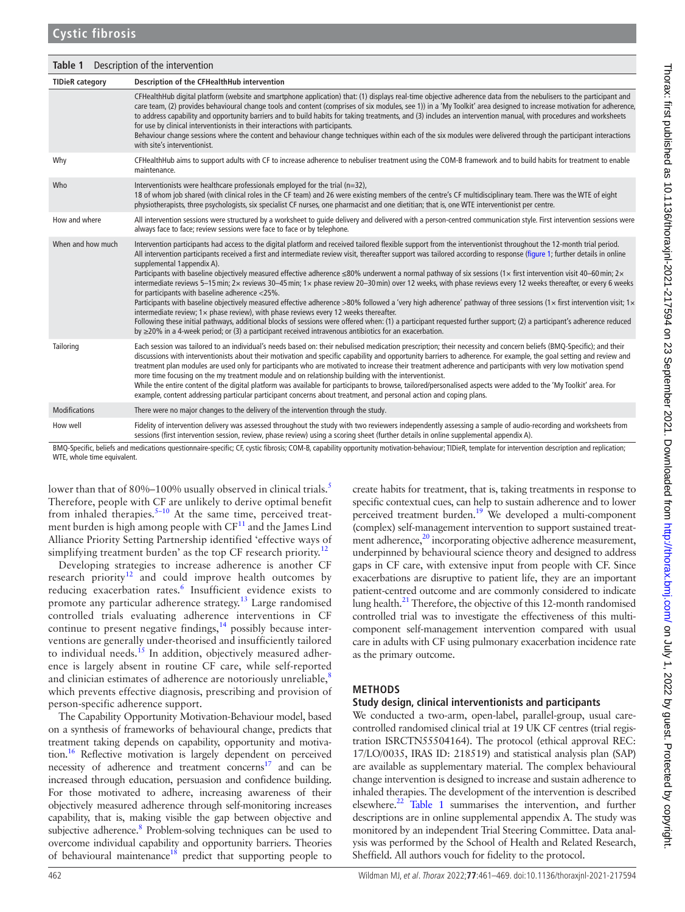<span id="page-1-0"></span>

| Table 1                | Description of the intervention                                                                                                                                                                                                                                                                                                                                                                                                                                                                                                                                                                                                                                                                                                                                                                                                                                                                                                                                                                                                                                                                                                                                                                                                                                                                                                            |
|------------------------|--------------------------------------------------------------------------------------------------------------------------------------------------------------------------------------------------------------------------------------------------------------------------------------------------------------------------------------------------------------------------------------------------------------------------------------------------------------------------------------------------------------------------------------------------------------------------------------------------------------------------------------------------------------------------------------------------------------------------------------------------------------------------------------------------------------------------------------------------------------------------------------------------------------------------------------------------------------------------------------------------------------------------------------------------------------------------------------------------------------------------------------------------------------------------------------------------------------------------------------------------------------------------------------------------------------------------------------------|
| <b>TIDieR</b> category | Description of the CFHealthHub intervention                                                                                                                                                                                                                                                                                                                                                                                                                                                                                                                                                                                                                                                                                                                                                                                                                                                                                                                                                                                                                                                                                                                                                                                                                                                                                                |
|                        | CFHealthHub digital platform (website and smartphone application) that: (1) displays real-time objective adherence data from the nebulisers to the participant and<br>care team, (2) provides behavioural change tools and content (comprises of six modules, see 1)) in a 'My Toolkit' area designed to increase motivation for adherence,<br>to address capability and opportunity barriers and to build habits for taking treatments, and (3) includes an intervention manual, with procedures and worksheets<br>for use by clinical interventionists in their interactions with participants.<br>Behaviour change sessions where the content and behaviour change techniques within each of the six modules were delivered through the participant interactions<br>with site's interventionist.                                                                                                                                                                                                                                                                                                                                                                                                                                                                                                                                        |
| Why                    | CFHealthHub aims to support adults with CF to increase adherence to nebuliser treatment using the COM-B framework and to build habits for treatment to enable<br>maintenance.                                                                                                                                                                                                                                                                                                                                                                                                                                                                                                                                                                                                                                                                                                                                                                                                                                                                                                                                                                                                                                                                                                                                                              |
| Who                    | Interventionists were healthcare professionals employed for the trial ( $n=32$ ),<br>18 of whom job shared (with clinical roles in the CF team) and 26 were existing members of the centre's CF multidisciplinary team. There was the WTE of eight<br>physiotherapists, three psychologists, six specialist CF nurses, one pharmacist and one dietitian; that is, one WTE interventionist per centre.                                                                                                                                                                                                                                                                                                                                                                                                                                                                                                                                                                                                                                                                                                                                                                                                                                                                                                                                      |
| How and where          | All intervention sessions were structured by a worksheet to guide delivery and delivered with a person-centred communication style. First intervention sessions were<br>always face to face; review sessions were face to face or by telephone.                                                                                                                                                                                                                                                                                                                                                                                                                                                                                                                                                                                                                                                                                                                                                                                                                                                                                                                                                                                                                                                                                            |
| When and how much      | Intervention participants had access to the digital platform and received tailored flexible support from the interventionist throughout the 12-month trial period.<br>All intervention participants received a first and intermediate review visit, thereafter support was tailored according to response (figure 1; further details in online<br>supplemental 1appendix A).<br>Participants with baseline objectively measured effective adherence $\leq$ 80% underwent a normal pathway of six sessions (1× first intervention visit 40–60 min; 2×<br>intermediate reviews 5-15 min; 2x reviews 30-45 min; 1x phase review 20-30 min) over 12 weeks, with phase reviews every 12 weeks thereafter, or every 6 weeks<br>for participants with baseline adherence <25%.<br>Participants with baseline objectively measured effective adherence >80% followed a 'very high adherence' pathway of three sessions (1 x first intervention visit; 1 x<br>intermediate review; $1 \times$ phase review), with phase reviews every 12 weeks thereafter.<br>Following these initial pathways, additional blocks of sessions were offered when: (1) a participant requested further support; (2) a participant's adherence reduced<br>by $\geq$ 20% in a 4-week period; or (3) a participant received intravenous antibiotics for an exacerbation. |
| Tailoring              | Each session was tailored to an individual's needs based on: their nebulised medication prescription; their necessity and concern beliefs (BMQ-Specific); and their<br>discussions with interventionists about their motivation and specific capability and opportunity barriers to adherence. For example, the goal setting and review and<br>treatment plan modules are used only for participants who are motivated to increase their treatment adherence and participants with very low motivation spend<br>more time focusing on the my treatment module and on relationship building with the interventionist.<br>While the entire content of the digital platform was available for participants to browse, tailored/personalised aspects were added to the 'My Toolkit' area. For<br>example, content addressing particular participant concerns about treatment, and personal action and coping plans.                                                                                                                                                                                                                                                                                                                                                                                                                            |
| <b>Modifications</b>   | There were no major changes to the delivery of the intervention through the study.                                                                                                                                                                                                                                                                                                                                                                                                                                                                                                                                                                                                                                                                                                                                                                                                                                                                                                                                                                                                                                                                                                                                                                                                                                                         |
| How well               | Fidelity of intervention delivery was assessed throughout the study with two reviewers independently assessing a sample of audio-recording and worksheets from<br>sessions (first intervention session, review, phase review) using a scoring sheet (further details in online supplemental appendix A).                                                                                                                                                                                                                                                                                                                                                                                                                                                                                                                                                                                                                                                                                                                                                                                                                                                                                                                                                                                                                                   |

BMQ-Specific, beliefs and medications questionnaire-specific; CF, cystic fibrosis; COM-B, capability opportunity motivation-behaviour; TIDieR, template for intervention description and replication; WTE, whole time equivalent.

lower than that of 80%–100% usually observed in clinical trials.<sup>5</sup> Therefore, people with CF are unlikely to derive optimal benefit from inhaled therapies.<sup>5-10</sup> At the same time, perceived treatment burden is high among people with  $CF<sup>11</sup>$  and the James Lind Alliance Priority Setting Partnership identified 'effective ways of simplifying treatment burden' as the top CF research priority.<sup>[12](#page-8-5)</sup>

Developing strategies to increase adherence is another CF research priority<sup>12</sup> and could improve health outcomes by reducing exacerbation rates.<sup>[6](#page-8-6)</sup> Insufficient evidence exists to promote any particular adherence strategy.[13](#page-8-7) Large randomised controlled trials evaluating adherence interventions in CF continue to present negative findings, $14$  possibly because interventions are generally under-theorised and insufficiently tailored to individual needs.<sup>[15](#page-8-9)</sup> In addition, objectively measured adherence is largely absent in routine CF care, while self-reported and clinician estimates of adherence are notoriously unreliable, ${}^{8}$ which prevents effective diagnosis, prescribing and provision of person-specific adherence support.

The Capability Opportunity Motivation-Behaviour model, based on a synthesis of frameworks of behavioural change, predicts that treatment taking depends on capability, opportunity and motivation.<sup>16</sup> Reflective motivation is largely dependent on perceived necessity of adherence and treatment concerns $17$  and can be increased through education, persuasion and confidence building. For those motivated to adhere, increasing awareness of their objectively measured adherence through self-monitoring increases capability, that is, making visible the gap between objective and subjective adherence.<sup>[8](#page-8-10)</sup> Problem-solving techniques can be used to overcome individual capability and opportunity barriers. Theories of behavioural maintenance<sup>18</sup> predict that supporting people to

create habits for treatment, that is, taking treatments in response to specific contextual cues, can help to sustain adherence and to lower perceived treatment burden.<sup>[19](#page-8-14)</sup> We developed a multi-component (complex) self-management intervention to support sustained treatment adherence,<sup>20</sup> incorporating objective adherence measurement, underpinned by behavioural science theory and designed to address gaps in CF care, with extensive input from people with CF. Since exacerbations are disruptive to patient life, they are an important patient-centred outcome and are commonly considered to indicate lung health. $^{21}$  Therefore, the objective of this 12-month randomised controlled trial was to investigate the effectiveness of this multicomponent self-management intervention compared with usual care in adults with CF using pulmonary exacerbation incidence rate as the primary outcome.

## **METHODS**

# **Study design, clinical interventionists and participants**

We conducted a two-arm, open-label, parallel-group, usual carecontrolled randomised clinical trial at 19 UK CF centres (trial registration ISRCTN55504164). The protocol (ethical approval REC: 17/LO/0035, IRAS ID: 218519) and statistical analysis plan (SAP) are available as supplementary material. The complex behavioural change intervention is designed to increase and sustain adherence to inhaled therapies. The development of the intervention is described elsewhere. $^{22}$  [Table](#page-1-0) 1 summarises the intervention, and further descriptions are in [online supplemental appendix A](https://dx.doi.org/10.1136/thoraxjnl-2021-217594). The study was monitored by an independent Trial Steering Committee. Data analysis was performed by the School of Health and Related Research, Sheffield. All authors vouch for fidelity to the protocol.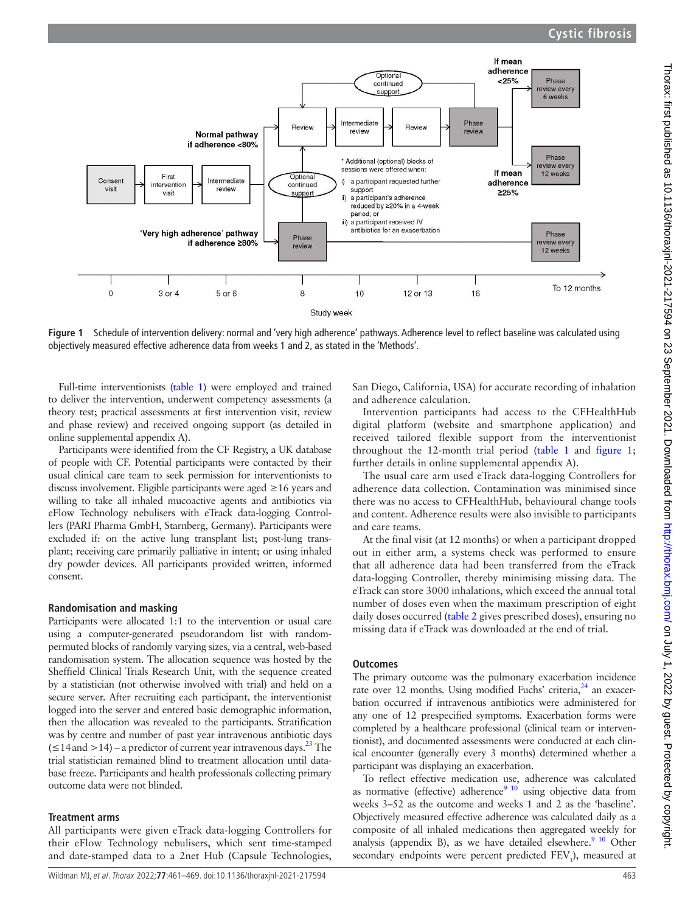

<span id="page-2-0"></span>**Figure 1** Schedule of intervention delivery: normal and 'very high adherence' pathways. Adherence level to reflect baseline was calculated using objectively measured effective adherence data from weeks 1 and 2, as stated in the 'Methods'.

Full-time interventionists ([table](#page-1-0) 1) were employed and trained to deliver the intervention, underwent competency assessments (a theory test; practical assessments at first intervention visit, review and phase review) and received ongoing support (as detailed in [online supplemental appendix A\)](https://dx.doi.org/10.1136/thoraxjnl-2021-217594).

Participants were identified from the CF Registry, a UK database of people with CF. Potential participants were contacted by their usual clinical care team to seek permission for interventionists to discuss involvement. Eligible participants were aged ≥16 years and willing to take all inhaled mucoactive agents and antibiotics via eFlow Technology nebulisers with eTrack data-logging Controllers (PARI Pharma GmbH, Starnberg, Germany). Participants were excluded if: on the active lung transplant list; post-lung transplant; receiving care primarily palliative in intent; or using inhaled dry powder devices. All participants provided written, informed consent.

#### **Randomisation and masking**

Participants were allocated 1:1 to the intervention or usual care using a computer-generated pseudorandom list with randompermuted blocks of randomly varying sizes, via a central, web-based randomisation system. The allocation sequence was hosted by the Sheffield Clinical Trials Research Unit, with the sequence created by a statistician (not otherwise involved with trial) and held on a secure server. After recruiting each participant, the interventionist logged into the server and entered basic demographic information, then the allocation was revealed to the participants. Stratification was by centre and number of past year intravenous antibiotic days  $( \leq 14$  and  $> 14$ ) – a predictor of current year intravenous days.<sup>23</sup> The trial statistician remained blind to treatment allocation until database freeze. Participants and health professionals collecting primary outcome data were not blinded.

## **Treatment arms**

All participants were given eTrack data-logging Controllers for their eFlow Technology nebulisers, which sent time-stamped and date-stamped data to a 2net Hub (Capsule Technologies,

San Diego, California, USA) for accurate recording of inhalation and adherence calculation.

Intervention participants had access to the CFHealthHub digital platform (website and smartphone application) and received tailored flexible support from the interventionist throughout the 12-month trial period [\(table](#page-1-0) 1 and [figure](#page-2-0) 1; further details in [online supplemental appendix A](https://dx.doi.org/10.1136/thoraxjnl-2021-217594)).

The usual care arm used eTrack data-logging Controllers for adherence data collection. Contamination was minimised since there was no access to CFHealthHub, behavioural change tools and content. Adherence results were also invisible to participants and care teams.

At the final visit (at 12 months) or when a participant dropped out in either arm, a systems check was performed to ensure that all adherence data had been transferred from the eTrack data-logging Controller, thereby minimising missing data. The eTrack can store 3000 inhalations, which exceed the annual total number of doses even when the maximum prescription of eight daily doses occurred [\(table](#page-3-0) 2 gives prescribed doses), ensuring no missing data if eTrack was downloaded at the end of trial.

## **Outcomes**

The primary outcome was the pulmonary exacerbation incidence rate over 12 months. Using modified Fuchs' criteria, $^{24}$  an exacerbation occurred if intravenous antibiotics were administered for any one of 12 prespecified symptoms. Exacerbation forms were completed by a healthcare professional (clinical team or interventionist), and documented assessments were conducted at each clinical encounter (generally every 3 months) determined whether a participant was displaying an exacerbation.

To reflect effective medication use, adherence was calculated as normative (effective) adherence<sup>9 10</sup> using objective data from weeks 3–52 as the outcome and weeks 1 and 2 as the 'baseline'. Objectively measured effective adherence was calculated daily as a composite of all inhaled medications then aggregated weekly for analysis (appendix B), as we have detailed elsewhere. $910$  Other secondary endpoints were percent predicted FEV<sub>1</sub>), measured at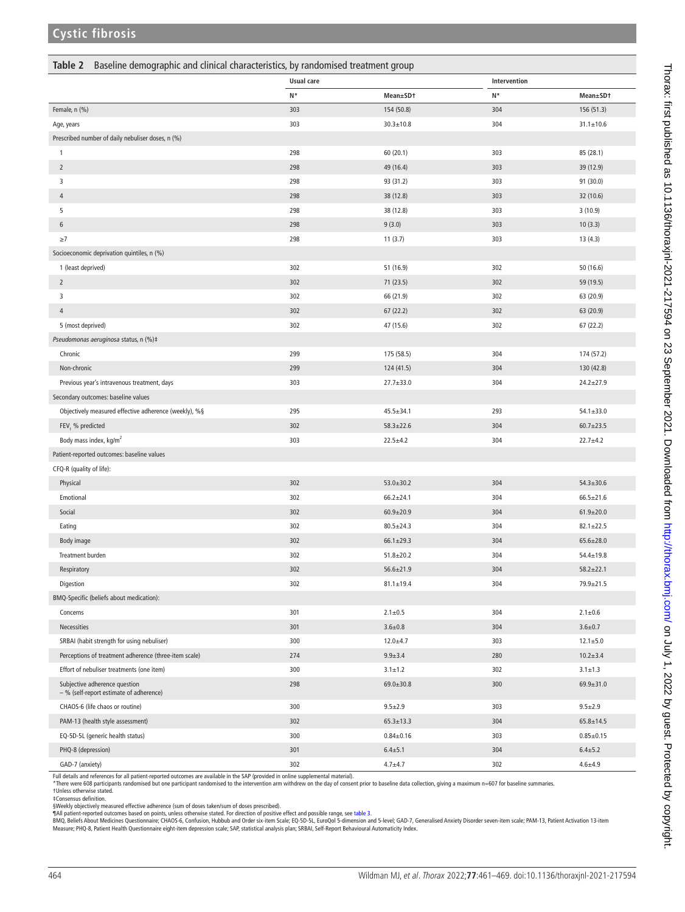### <span id="page-3-0"></span>**Table 2** Baseline demographic and clinical characteristics, by randomised treatment group

|                                                                          | Usual care |                 | Intervention |                 |
|--------------------------------------------------------------------------|------------|-----------------|--------------|-----------------|
|                                                                          | N*         | Mean±SDt        | N*           | Mean±SDt        |
| Female, n (%)                                                            | 303        | 154 (50.8)      | 304          | 156 (51.3)      |
| Age, years                                                               | 303        | $30.3 \pm 10.8$ | 304          | $31.1 \pm 10.6$ |
| Prescribed number of daily nebuliser doses, n (%)                        |            |                 |              |                 |
| 1                                                                        | 298        | 60 (20.1)       | 303          | 85 (28.1)       |
| $\overline{2}$                                                           | 298        | 49 (16.4)       | 303          | 39 (12.9)       |
| 3                                                                        | 298        | 93 (31.2)       | 303          | 91 (30.0)       |
| $\overline{4}$                                                           | 298        | 38 (12.8)       | 303          | 32 (10.6)       |
| 5                                                                        | 298        | 38 (12.8)       | 303          | 3(10.9)         |
| $\sqrt{6}$                                                               | 298        | 9(3.0)          | 303          | 10(3.3)         |
| $\geq$ 7                                                                 | 298        | 11(3.7)         | 303          | 13(4.3)         |
| Socioeconomic deprivation quintiles, n (%)                               |            |                 |              |                 |
| 1 (least deprived)                                                       | 302        | 51 (16.9)       | 302          | 50 (16.6)       |
| $\overline{2}$                                                           | 302        | 71 (23.5)       | 302          | 59 (19.5)       |
| 3                                                                        | 302        | 66 (21.9)       | 302          | 63 (20.9)       |
| 4                                                                        | 302        | 67(22.2)        | 302          | 63 (20.9)       |
| 5 (most deprived)                                                        | 302        | 47 (15.6)       | 302          | 67(22.2)        |
| Pseudomonas aeruginosa status, n (%)‡                                    |            |                 |              |                 |
| Chronic                                                                  | 299        | 175 (58.5)      | 304          | 174 (57.2)      |
| Non-chronic                                                              | 299        | 124 (41.5)      | 304          | 130 (42.8)      |
| Previous year's intravenous treatment, days                              | 303        | $27.7 \pm 33.0$ | 304          | $24.2 \pm 27.9$ |
| Secondary outcomes: baseline values                                      |            |                 |              |                 |
| Objectively measured effective adherence (weekly), %§                    | 295        | $45.5 \pm 34.1$ | 293          | $54.1 \pm 33.0$ |
| FEV, % predicted                                                         | 302        | $58.3 \pm 22.6$ | 304          | $60.7 \pm 23.5$ |
| Body mass index, kg/m <sup>2</sup>                                       | 303        | $22.5 \pm 4.2$  | 304          | $22.7 + 4.2$    |
| Patient-reported outcomes: baseline values                               |            |                 |              |                 |
| CFQ-R (quality of life):                                                 |            |                 |              |                 |
| Physical                                                                 | 302        | $53.0 \pm 30.2$ | 304          | $54.3 \pm 30.6$ |
| Emotional                                                                | 302        | $66.2 + 24.1$   | 304          | $66.5 \pm 21.6$ |
| Social                                                                   | 302        | $60.9 \pm 20.9$ | 304          | $61.9 \pm 20.0$ |
| Eating                                                                   | 302        | $80.5 \pm 24.3$ | 304          | $82.1 \pm 22.5$ |
| Body image                                                               | 302        | $66.1 \pm 29.3$ | 304          | $65.6 \pm 28.0$ |
| Treatment burden                                                         | 302        | $51.8 \pm 20.2$ | 304          | $54.4 \pm 19.8$ |
| Respiratory                                                              | 302        | $56.6 \pm 21.9$ | 304          | $58.2 + 22.1$   |
| Digestion                                                                | 302        | $81.1 \pm 19.4$ | 304          | 79.9±21.5       |
| BMQ-Specific (beliefs about medication):                                 |            |                 |              |                 |
| Concerns                                                                 | 301        | $2.1 \pm 0.5$   | 304          | $2.1 \pm 0.6$   |
| Necessities                                                              | 301        | $3.6 + 0.8$     | 304          | $3.6 + 0.7$     |
| SRBAI (habit strength for using nebuliser)                               | 300        | $12.0 + 4.7$    | 303          | $12.1 \pm 5.0$  |
| Perceptions of treatment adherence (three-item scale)                    | 274        | $9.9 + 3.4$     | 280          | $10.2 + 3.4$    |
| Effort of nebuliser treatments (one item)                                | 300        | $3.1 \pm 1.2$   | 302          | $3.1 \pm 1.3$   |
| Subjective adherence question<br>- % (self-report estimate of adherence) | 298        | $69.0 \pm 30.8$ | 300          | $69.9 + 31.0$   |
| CHAOS-6 (life chaos or routine)                                          | 300        | $9.5 \pm 2.9$   | 303          | $9.5 + 2.9$     |
| PAM-13 (health style assessment)                                         | 302        | $65.3 \pm 13.3$ | 304          | $65.8 \pm 14.5$ |
| EQ-5D-5L (generic health status)                                         | 300        | $0.84 \pm 0.16$ | 303          | $0.85 + 0.15$   |
| PHQ-8 (depression)                                                       | 301        | $6.4 + 5.1$     | 304          | $6.4 \pm 5.2$   |
| GAD-7 (anxiety)                                                          | 302        | $4.7 + 4.7$     | 302          | $4.6 + 4.9$     |

Full details and references for all patient-reported outcomes are available in the SAP (provided in [online supplemental material\)](https://dx.doi.org/10.1136/thoraxjnl-2021-217594).

\*There were 608 participants randomised but one participant randomised to the intervention arm withdrew on the day of consent prior to baseline data collection, giving a maximum n=607 for baseline summaries.<br>†Unless otherw

‡Consensus definition.<br>§Weekly objectively measured effective adherence (sum of doses taken/sum of doses prescribed).<br>¶All patient-reported outcomes based on points, unless otherwise stated. For direction of positive eff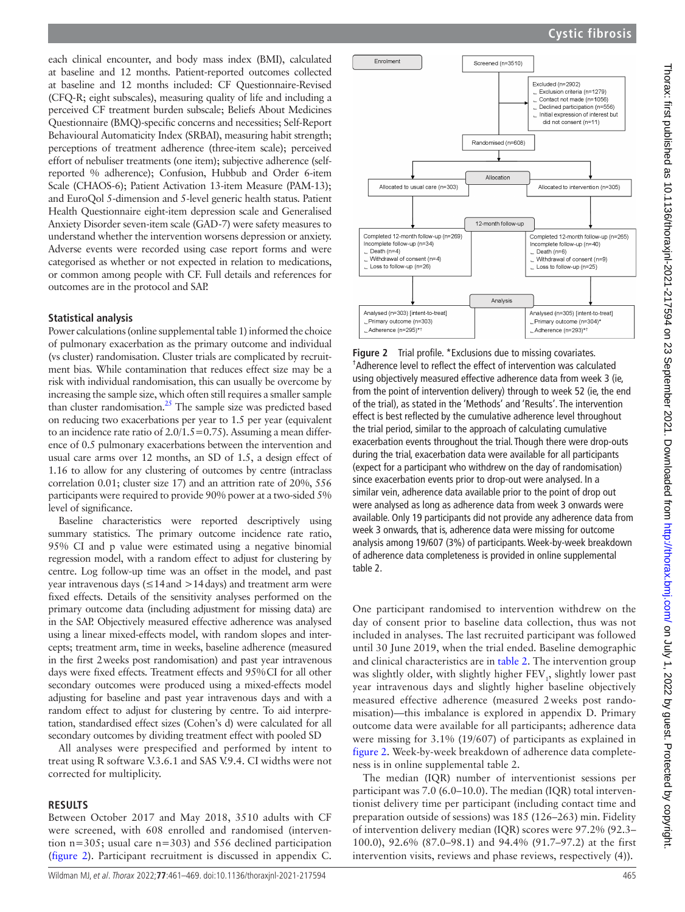each clinical encounter, and body mass index (BMI), calculated at baseline and 12 months. Patient-reported outcomes collected at baseline and 12 months included: CF Questionnaire-Revised (CFQ-R; eight subscales), measuring quality of life and including a perceived CF treatment burden subscale; Beliefs About Medicines Questionnaire (BMQ)-specific concerns and necessities; Self-Report Behavioural Automaticity Index (SRBAI), measuring habit strength; perceptions of treatment adherence (three-item scale); perceived effort of nebuliser treatments (one item); subjective adherence (selfreported % adherence); Confusion, Hubbub and Order 6-item Scale (CHAOS-6); Patient Activation 13-item Measure (PAM-13); and EuroQol 5-dimension and 5-level generic health status. Patient Health Questionnaire eight-item depression scale and Generalised Anxiety Disorder seven-item scale (GAD-7) were safety measures to understand whether the intervention worsens depression or anxiety. Adverse events were recorded using case report forms and were categorised as whether or not expected in relation to medications, or common among people with CF. Full details and references for outcomes are in the protocol and SAP.

### **Statistical analysis**

Power calculations ([online supplemental table 1](https://dx.doi.org/10.1136/thoraxjnl-2021-217594)) informed the choice of pulmonary exacerbation as the primary outcome and individual (vs cluster) randomisation. Cluster trials are complicated by recruitment bias. While contamination that reduces effect size may be a risk with individual randomisation, this can usually be overcome by increasing the sample size, which often still requires a smaller sample than cluster randomisation[.25](#page-8-21) The sample size was predicted based on reducing two exacerbations per year to 1.5 per year (equivalent to an incidence rate ratio of  $2.0/1.5=0.75$ ). Assuming a mean difference of 0.5 pulmonary exacerbations between the intervention and usual care arms over 12 months, an SD of 1.5, a design effect of 1.16 to allow for any clustering of outcomes by centre (intraclass correlation 0.01; cluster size 17) and an attrition rate of 20%, 556 participants were required to provide 90% power at a two-sided 5% level of significance.

Baseline characteristics were reported descriptively using summary statistics. The primary outcome incidence rate ratio, 95% CI and p value were estimated using a negative binomial regression model, with a random effect to adjust for clustering by centre. Log follow-up time was an offset in the model, and past year intravenous days ( $\leq$ 14 and  $>$ 14 days) and treatment arm were fixed effects. Details of the sensitivity analyses performed on the primary outcome data (including adjustment for missing data) are in the SAP. Objectively measured effective adherence was analysed using a linear mixed-effects model, with random slopes and intercepts; treatment arm, time in weeks, baseline adherence (measured in the first 2weeks post randomisation) and past year intravenous days were fixed effects. Treatment effects and 95%CI for all other secondary outcomes were produced using a mixed-effects model adjusting for baseline and past year intravenous days and with a random effect to adjust for clustering by centre. To aid interpretation, standardised effect sizes (Cohen's d) were calculated for all secondary outcomes by dividing treatment effect with pooled SD

All analyses were prespecified and performed by intent to treat using R software V.3.6.1 and SAS V.9.4. CI widths were not corrected for multiplicity.

#### **RESULTS**

Between October 2017 and May 2018, 3510 adults with CF were screened, with 608 enrolled and randomised (intervention n=305; usual care n=303) and 556 declined participation ([figure](#page-4-0) 2). Participant recruitment is discussed in appendix C.



<span id="page-4-0"></span>**Figure 2** Trial profile. \*Exclusions due to missing covariates. <sup>†</sup>Adherence level to reflect the effect of intervention was calculated using objectively measured effective adherence data from week 3 (ie, from the point of intervention delivery) through to week 52 (ie, the end of the trial), as stated in the 'Methods' and 'Results'. The intervention effect is best reflected by the cumulative adherence level throughout the trial period, similar to the approach of calculating cumulative exacerbation events throughout the trial. Though there were drop-outs during the trial, exacerbation data were available for all participants (expect for a participant who withdrew on the day of randomisation) since exacerbation events prior to drop-out were analysed. In a similar vein, adherence data available prior to the point of drop out were analysed as long as adherence data from week 3 onwards were available. Only 19 participants did not provide any adherence data from week 3 onwards, that is, adherence data were missing for outcome analysis among 19/607 (3%) of participants. Week-by-week breakdown of adherence data completeness is provided in [online supplemental](https://dx.doi.org/10.1136/thoraxjnl-2021-217594)  [table 2](https://dx.doi.org/10.1136/thoraxjnl-2021-217594).

One participant randomised to intervention withdrew on the day of consent prior to baseline data collection, thus was not included in analyses. The last recruited participant was followed until 30 June 2019, when the trial ended. Baseline demographic and clinical characteristics are in [table](#page-3-0) 2. The intervention group was slightly older, with slightly higher  $\text{FEV}_1$ , slightly lower past year intravenous days and slightly higher baseline objectively measured effective adherence (measured 2weeks post randomisation)—this imbalance is explored in appendix D. Primary outcome data were available for all participants; adherence data were missing for 3.1% (19/607) of participants as explained in [figure](#page-4-0) 2. Week-by-week breakdown of adherence data completeness is in [online supplemental table 2.](https://dx.doi.org/10.1136/thoraxjnl-2021-217594)

The median (IQR) number of interventionist sessions per participant was 7.0 (6.0–10.0). The median (IQR) total interventionist delivery time per participant (including contact time and preparation outside of sessions) was 185 (126–263) min. Fidelity of intervention delivery median (IQR) scores were 97.2% (92.3– 100.0), 92.6% (87.0–98.1) and 94.4% (91.7–97.2) at the first intervention visits, reviews and phase reviews, respectively (4)).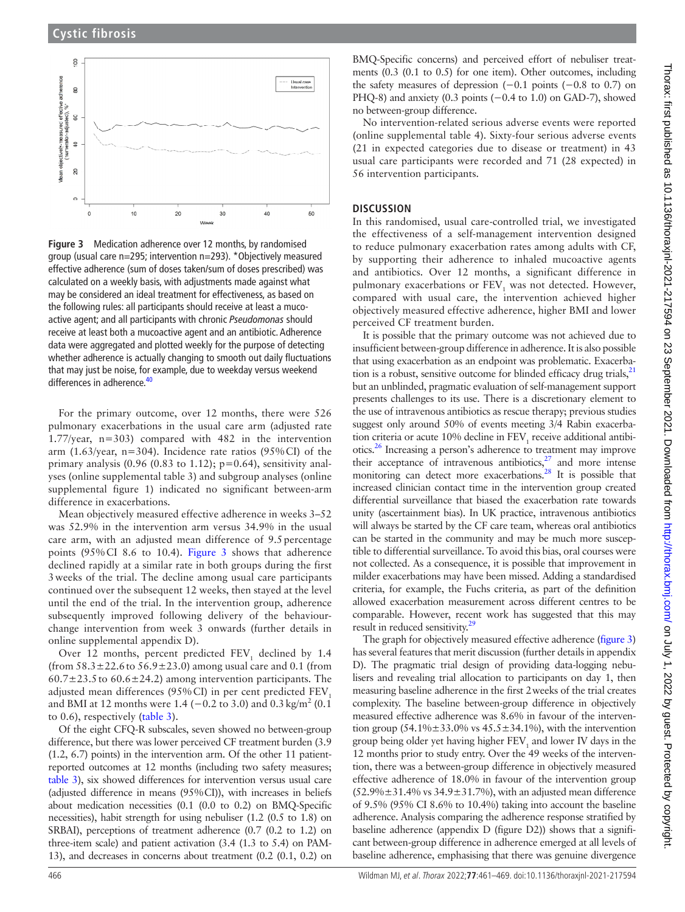

<span id="page-5-0"></span>**Figure 3** Medication adherence over 12 months, by randomised group (usual care n=295; intervention n=293). \*Objectively measured effective adherence (sum of doses taken/sum of doses prescribed) was calculated on a weekly basis, with adjustments made against what may be considered an ideal treatment for effectiveness, as based on the following rules: all participants should receive at least a mucoactive agent; and all participants with chronic *Pseudomonas* should receive at least both a mucoactive agent and an antibiotic. Adherence data were aggregated and plotted weekly for the purpose of detecting whether adherence is actually changing to smooth out daily fluctuations that may just be noise, for example, due to weekday versus weekend differences in adherence.<sup>[40](#page-8-26)</sup>

For the primary outcome, over 12 months, there were 526 pulmonary exacerbations in the usual care arm (adjusted rate 1.77/year, n=303) compared with 482 in the intervention arm (1.63/year,  $n=304$ ). Incidence rate ratios (95%CI) of the primary analysis (0.96 (0.83 to 1.12);  $p=0.64$ ), sensitivity analyses [\(online supplemental table 3](https://dx.doi.org/10.1136/thoraxjnl-2021-217594)) and subgroup analyses [\(online](https://dx.doi.org/10.1136/thoraxjnl-2021-217594)  [supplemental figure 1\)](https://dx.doi.org/10.1136/thoraxjnl-2021-217594) indicated no significant between-arm difference in exacerbations.

Mean objectively measured effective adherence in weeks 3–52 was 52.9% in the intervention arm versus 34.9% in the usual care arm, with an adjusted mean difference of 9.5 percentage points (95%CI 8.6 to 10.4). [Figure](#page-5-0) 3 shows that adherence declined rapidly at a similar rate in both groups during the first 3weeks of the trial. The decline among usual care participants continued over the subsequent 12 weeks, then stayed at the level until the end of the trial. In the intervention group, adherence subsequently improved following delivery of the behaviourchange intervention from week 3 onwards (further details in [online supplemental appendix D\)](https://dx.doi.org/10.1136/thoraxjnl-2021-217594).

Over 12 months, percent predicted  $\text{FEV}_1$  declined by 1.4 (from  $58.3 \pm 22.6$  to  $56.9 \pm 23.0$ ) among usual care and 0.1 (from  $60.7\pm23.5$  to  $60.6\pm24.2$ ) among intervention participants. The adjusted mean differences (95% CI) in per cent predicted  $FEV<sub>1</sub>$ and BMI at 12 months were 1.4 (–0.2 to 3.0) and 0.3 kg/m<sup>2</sup> (0.1) to 0.6), respectively ([table](#page-6-0) 3).

Of the eight CFQ-R subscales, seven showed no between-group difference, but there was lower perceived CF treatment burden (3.9 (1.2, 6.7) points) in the intervention arm. Of the other 11 patientreported outcomes at 12 months (including two safety measures; [table](#page-6-0) 3), six showed differences for intervention versus usual care (adjusted difference in means (95%CI)), with increases in beliefs about medication necessities (0.1 (0.0 to 0.2) on BMQ-Specific necessities), habit strength for using nebuliser (1.2 (0.5 to 1.8) on SRBAI), perceptions of treatment adherence (0.7 (0.2 to 1.2) on three-item scale) and patient activation (3.4 (1.3 to 5.4) on PAM-13), and decreases in concerns about treatment (0.2 (0.1, 0.2) on

BMQ-Specific concerns) and perceived effort of nebuliser treatments (0.3 (0.1 to 0.5) for one item). Other outcomes, including the safety measures of depression  $(-0.1 \text{ points } (-0.8 \text{ to } 0.7) \text{ on }$ PHQ-8) and anxiety (0.3 points (−0.4 to 1.0) on GAD-7), showed no between-group difference.

No intervention-related serious adverse events were reported ([online supplemental table 4\)](https://dx.doi.org/10.1136/thoraxjnl-2021-217594). Sixty-four serious adverse events (21 in expected categories due to disease or treatment) in 43 usual care participants were recorded and 71 (28 expected) in 56 intervention participants.

### **DISCUSSION**

In this randomised, usual care-controlled trial, we investigated the effectiveness of a self-management intervention designed to reduce pulmonary exacerbation rates among adults with CF, by supporting their adherence to inhaled mucoactive agents and antibiotics. Over 12 months, a significant difference in pulmonary exacerbations or  $\text{FEV}_1$  was not detected. However, compared with usual care, the intervention achieved higher objectively measured effective adherence, higher BMI and lower perceived CF treatment burden.

It is possible that the primary outcome was not achieved due to insufficient between-group difference in adherence. It is also possible that using exacerbation as an endpoint was problematic. Exacerbation is a robust, sensitive outcome for blinded efficacy drug trials, $^{21}$ but an unblinded, pragmatic evaluation of self-management support presents challenges to its use. There is a discretionary element to the use of intravenous antibiotics as rescue therapy; previous studies suggest only around 50% of events meeting 3/4 Rabin exacerbation criteria or acute 10% decline in  $FEV<sub>1</sub>$  receive additional antibiotics.[26](#page-8-22) Increasing a person's adherence to treatment may improve their acceptance of intravenous antibiotics, $27$  and more intense monitoring can detect more exacerbations.<sup>28</sup> It is possible that increased clinician contact time in the intervention group created differential surveillance that biased the exacerbation rate towards unity (ascertainment bias). In UK practice, intravenous antibiotics will always be started by the CF care team, whereas oral antibiotics can be started in the community and may be much more susceptible to differential surveillance. To avoid this bias, oral courses were not collected. As a consequence, it is possible that improvement in milder exacerbations may have been missed. Adding a standardised criteria, for example, the Fuchs criteria, as part of the definition allowed exacerbation measurement across different centres to be comparable. However, recent work has suggested that this may result in reduced sensitivity.<sup>29</sup>

The graph for objectively measured effective adherence [\(figure](#page-5-0) 3) has several features that merit discussion (further details in appendix D). The pragmatic trial design of providing data-logging nebulisers and revealing trial allocation to participants on day 1, then measuring baseline adherence in the first 2weeks of the trial creates complexity. The baseline between-group difference in objectively measured effective adherence was 8.6% in favour of the intervention group  $(54.1\% \pm 33.0\% \text{ vs } 45.5 \pm 34.1\%)$ , with the intervention group being older yet having higher  $\text{FEV}_1$  and lower IV days in the 12 months prior to study entry. Over the 49 weeks of the intervention, there was a between-group difference in objectively measured effective adherence of 18.0% in favour of the intervention group  $(52.9\% \pm 31.4\% \text{ vs } 34.9 \pm 31.7\%)$ , with an adjusted mean difference of 9.5% (95% CI 8.6% to 10.4%) taking into account the baseline adherence. Analysis comparing the adherence response stratified by baseline adherence (appendix D (figure D2)) shows that a significant between-group difference in adherence emerged at all levels of baseline adherence, emphasising that there was genuine divergence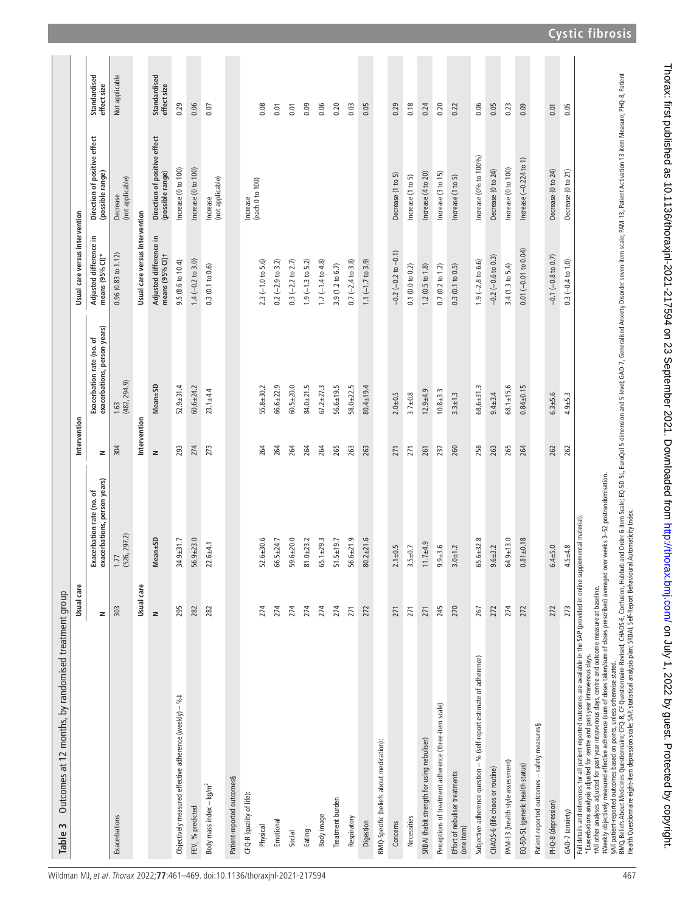|                                                                                                                                                                                                                                                                                                                                                                                                                                                                                                                                                                                                                                                                                                                                                                                                                                                                                                                             | Usual care |                                                           | Intervention |                                                           | Usual care versus intervention            |                                                  |                             |
|-----------------------------------------------------------------------------------------------------------------------------------------------------------------------------------------------------------------------------------------------------------------------------------------------------------------------------------------------------------------------------------------------------------------------------------------------------------------------------------------------------------------------------------------------------------------------------------------------------------------------------------------------------------------------------------------------------------------------------------------------------------------------------------------------------------------------------------------------------------------------------------------------------------------------------|------------|-----------------------------------------------------------|--------------|-----------------------------------------------------------|-------------------------------------------|--------------------------------------------------|-----------------------------|
|                                                                                                                                                                                                                                                                                                                                                                                                                                                                                                                                                                                                                                                                                                                                                                                                                                                                                                                             | z          | exacerbations, person years)<br>Exacerbation rate (no. of | z            | exacerbations, person years)<br>Exacerbation rate (no. of | Adjusted difference in<br>means (95% CI)* | Direction of positive effect<br>(possible range) | Standardised<br>effect size |
| Exacerbations                                                                                                                                                                                                                                                                                                                                                                                                                                                                                                                                                                                                                                                                                                                                                                                                                                                                                                               | 303        | (526, 297.2)<br>1.77                                      | 304          | $\frac{1.63}{(482, 294.9)}$                               | 0.96(0.83 to 1.12)                        | (not applicable)<br>Decrease                     | Not applicable              |
|                                                                                                                                                                                                                                                                                                                                                                                                                                                                                                                                                                                                                                                                                                                                                                                                                                                                                                                             | Usual care |                                                           | Intervention |                                                           | Usual care versus intervention            |                                                  |                             |
|                                                                                                                                                                                                                                                                                                                                                                                                                                                                                                                                                                                                                                                                                                                                                                                                                                                                                                                             | $\geq$     | Mean± <sub>5</sub> D                                      | $\geq$       | Mean±SD                                                   | Adjusted difference in<br>means (95% CI)+ | Direction of positive effect<br>(possible range) | Standardised<br>effect size |
| Objectively measured effective adherence (weekly) - %#                                                                                                                                                                                                                                                                                                                                                                                                                                                                                                                                                                                                                                                                                                                                                                                                                                                                      | 295        | 34.9±31.7                                                 | 293          | $52.9 + 31.4$                                             | 9.5 (8.6 to 10.4)                         | Increase (0 to 100)                              | 0.29                        |
| FEV, % predicted                                                                                                                                                                                                                                                                                                                                                                                                                                                                                                                                                                                                                                                                                                                                                                                                                                                                                                            | 282        | $56.9 + 23.0$                                             | 274          | $60.6 + 24.2$                                             | $1.4 (-0.2 to 3.0)$                       | Increase (0 to 100)                              | 0.06                        |
| Body mass index $-$ kg/m <sup>2</sup>                                                                                                                                                                                                                                                                                                                                                                                                                                                                                                                                                                                                                                                                                                                                                                                                                                                                                       | 282        | $22.6 + 4.1$                                              | 273          | $23.1 + 4.4$                                              | 0.3(0.1 to 0.6)                           | (not applicable)<br>Increase                     | 0.07                        |
| Patient-reported outcomes§                                                                                                                                                                                                                                                                                                                                                                                                                                                                                                                                                                                                                                                                                                                                                                                                                                                                                                  |            |                                                           |              |                                                           |                                           |                                                  |                             |
| CFQ-R (quality of life):                                                                                                                                                                                                                                                                                                                                                                                                                                                                                                                                                                                                                                                                                                                                                                                                                                                                                                    |            |                                                           |              |                                                           |                                           | Increase                                         |                             |
| Physical                                                                                                                                                                                                                                                                                                                                                                                                                                                                                                                                                                                                                                                                                                                                                                                                                                                                                                                    | 274        | $52.6 + 30.6$                                             | 264          | $55.8 + 30.2$                                             | $2.3 (-1.0 to 5.6)$                       | (each 0 to 100)                                  | 0.08                        |
| Emotional                                                                                                                                                                                                                                                                                                                                                                                                                                                                                                                                                                                                                                                                                                                                                                                                                                                                                                                   | 274        | 66.5±24.7                                                 | 264          | $66.6 + 22.9$                                             | $0.2 (-2.9 to 3.2)$                       |                                                  | 0.01                        |
| Social                                                                                                                                                                                                                                                                                                                                                                                                                                                                                                                                                                                                                                                                                                                                                                                                                                                                                                                      | 274        | $59.6 + 20.0$                                             | 264          | $60.5 + 20.0$                                             | $0.3 (-2.2 to 2.7)$                       |                                                  | 0.01                        |
| Eating                                                                                                                                                                                                                                                                                                                                                                                                                                                                                                                                                                                                                                                                                                                                                                                                                                                                                                                      | 274        | $81.0 + 23.2$                                             | 264          | $84.0 + 21.5$                                             | $1.9(-1.3 to 5.2)$                        |                                                  | 0.09                        |
| Body image                                                                                                                                                                                                                                                                                                                                                                                                                                                                                                                                                                                                                                                                                                                                                                                                                                                                                                                  | 274        | $65.1 + 29.3$                                             | 264          | $67.2 \pm 27.3$                                           | $1.7(-1.4 to 4.8)$                        |                                                  | 0.06                        |
| Treatment burden                                                                                                                                                                                                                                                                                                                                                                                                                                                                                                                                                                                                                                                                                                                                                                                                                                                                                                            | 274        | $51.5 \pm 19.7$                                           | 265          | $56.6 \pm 19.5$                                           | 3.9 (1.2 to 6.7)                          |                                                  | 0.20                        |
| Respiratory                                                                                                                                                                                                                                                                                                                                                                                                                                                                                                                                                                                                                                                                                                                                                                                                                                                                                                                 | 271        | $56.6 + 21.9$                                             | 263          | $58.0 + 22.5$                                             | $0.7 (-2.4 to 3.8)$                       |                                                  | 0.03                        |
| Digestion                                                                                                                                                                                                                                                                                                                                                                                                                                                                                                                                                                                                                                                                                                                                                                                                                                                                                                                   | 272        | $80.2 + 21.6$                                             | 263          | $80.4 \pm 19.4$                                           | $1.1 (-1.7 to 3.9)$                       |                                                  | 0.05                        |
| BMQ-Specific (beliefs about medication):                                                                                                                                                                                                                                                                                                                                                                                                                                                                                                                                                                                                                                                                                                                                                                                                                                                                                    |            |                                                           |              |                                                           |                                           |                                                  |                             |
| Concerns                                                                                                                                                                                                                                                                                                                                                                                                                                                                                                                                                                                                                                                                                                                                                                                                                                                                                                                    | 271        | $2.1 \pm 0.5$                                             | 271          | $2.0 + 0.5$                                               | $-0.2(-0.2$ to $-0.1)$                    | Decrease (1 to 5)                                | 0.29                        |
| Necessities                                                                                                                                                                                                                                                                                                                                                                                                                                                                                                                                                                                                                                                                                                                                                                                                                                                                                                                 | 271        | $3.5 + 0.7$                                               | 271          | $3.7 + 0.8$                                               | 0.1(0.0 to 0.2)                           | Increase (1 to 5)                                | 0.18                        |
| SRBAI (habit strength for using nebuliser)                                                                                                                                                                                                                                                                                                                                                                                                                                                                                                                                                                                                                                                                                                                                                                                                                                                                                  | 271        | $11.7 + 4.9$                                              | 261          | $12.9 + 4.9$                                              | $1.2$ (0.5 to $1.8$ )                     | Increase (4 to 20)                               | 0.24                        |
| Perceptions of treatment adherence (three-item scale)                                                                                                                                                                                                                                                                                                                                                                                                                                                                                                                                                                                                                                                                                                                                                                                                                                                                       | 245        | $9.9 + 3.6$                                               | 237          | $10.8 + 3.3$                                              | $0.7(0.2 \text{ to } 1.2)$                | Increase (3 to 15)                               | 0.20                        |
| Effort of nebuliser treatments<br>(one item)                                                                                                                                                                                                                                                                                                                                                                                                                                                                                                                                                                                                                                                                                                                                                                                                                                                                                | 270        | $3.0 + 1.2$                                               | 260          | $3.3 \pm 1.3$                                             | 0.3(0.1 to 0.5)                           | Increase (1 to 5)                                | 0.22                        |
| Subjective adherence question - % (self-report estimate of adherence)                                                                                                                                                                                                                                                                                                                                                                                                                                                                                                                                                                                                                                                                                                                                                                                                                                                       | 267        | $65.6 + 32.8$                                             | 258          | $68.6 + 31.3$                                             | $1.9 (-2.8 to 6.6)$                       | Increase (0% to 100%)                            | 0.06                        |
| CHAOS-6 (life chaos or routine)                                                                                                                                                                                                                                                                                                                                                                                                                                                                                                                                                                                                                                                                                                                                                                                                                                                                                             | 272        | $9.6 + 3.2$                                               | 263          | $9.4 + 3.4$                                               | $-0.2$ ( $-0.6$ to 0.3)                   | Decrease (0 to 24)                               | 0.05                        |
| PAM-13 (health style assessment)                                                                                                                                                                                                                                                                                                                                                                                                                                                                                                                                                                                                                                                                                                                                                                                                                                                                                            | 274        | $64.9 + 13.0$                                             | 265          | $68.1 \pm 15.6$                                           | 3.4 (1.3 to 5.4)                          | Increase (0 to 100)                              | 0.23                        |
| EQ-5D-5L (generic health status)                                                                                                                                                                                                                                                                                                                                                                                                                                                                                                                                                                                                                                                                                                                                                                                                                                                                                            | 272        | $0.81 + 0.18$                                             | 264          | $0.84 + 0.15$                                             | $0.01 (-0.01 to 0.04)$                    | Increase $(-0.224$ to $1)$                       | 0.09                        |
| Patient-reported outcomes - safety measures§                                                                                                                                                                                                                                                                                                                                                                                                                                                                                                                                                                                                                                                                                                                                                                                                                                                                                |            |                                                           |              |                                                           |                                           |                                                  |                             |
| PHQ-8 (depression)                                                                                                                                                                                                                                                                                                                                                                                                                                                                                                                                                                                                                                                                                                                                                                                                                                                                                                          | 272        | $6.4 + 5.0$                                               | 262          | $6.3 + 5.6$                                               | $-0.1$ $(-0.8$ to 0.7)                    | Decrease (0 to 24)                               | 0.01                        |
| GAD-7 (anxiety)                                                                                                                                                                                                                                                                                                                                                                                                                                                                                                                                                                                                                                                                                                                                                                                                                                                                                                             | 273        | $4.5 + 4.8$                                               | 262          | $4.9 + 5.3$                                               | $0.3 (-0.4 to 1.0)$                       | Decrease (0 to 21)                               | 0.05                        |
| BNQ, Beliefs About Medicines Questionnaire; Revised: CHQOS-6, Confusion, Hubbub and Order 6-item Scale; EUroQol 5-dimension and 5-level; GAD-7, Generalised Anxiety Disorder seven-item scale; PAM-13, Patient Activation 13-i<br>#Weekly objectively measured effective adherence (sum of doses taken/sum of doses prescribed) averaged over weeks 3-52 postrandomisation.<br>Health Questionnaire eight-item depression scale; SAP, statistical analysis plan; SRBAI, Self-Report Behavioural Automaticity Index.<br>Full details and references for all patient-reported outcomes are available in the SAP (provided in online supplemental material).<br>tAll other analyses adjusted for past year intravenous days, centre and outcome measure at baseline.<br>*Exacerbations analysis adjusted for centre and past year intravenous days.<br>§All patient-reported outcomes based on points, unless otherwise stated |            |                                                           |              |                                                           |                                           |                                                  |                             |

<span id="page-6-0"></span>

**Cystic fibrosis**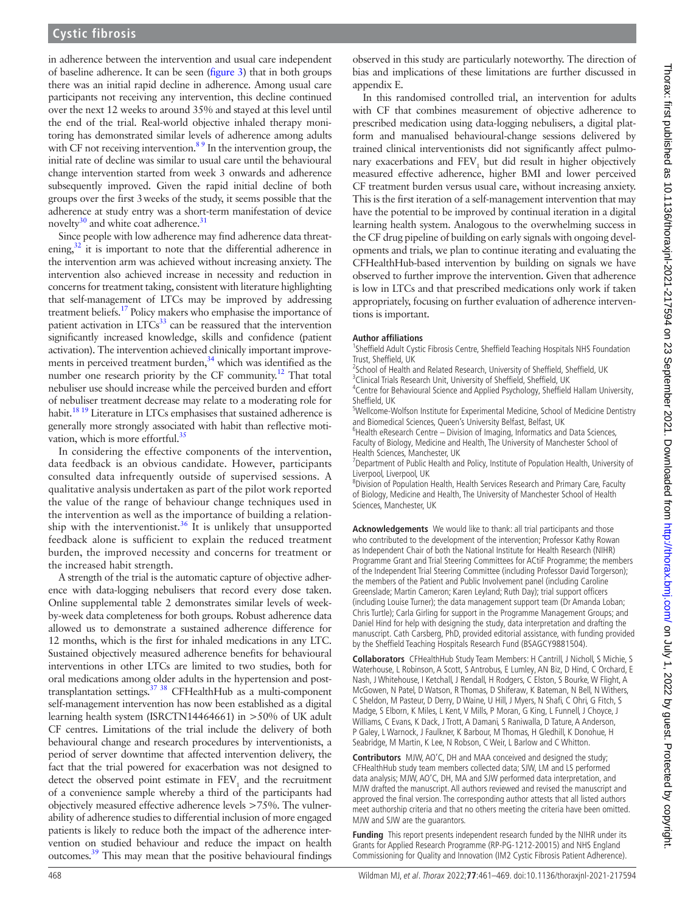Thorax: first published as 10.1136/thoraxjnl-2021-217594 on 23 September 2021. Downloaded from http://thorax.bmj.com/ on July 1, 2022 by guest. Protected by copyright on July 1, 2022 by guest. Protected by copyright. <http://thorax.bmj.com/> Thorax: first published as 10.1136/thoraxjnl-2021-217594 on 23 September 2021. Downloaded from

in adherence between the intervention and usual care independent of baseline adherence. It can be seen ([figure](#page-5-0) 3) that in both groups there was an initial rapid decline in adherence. Among usual care participants not receiving any intervention, this decline continued over the next 12 weeks to around 35% and stayed at this level until the end of the trial. Real-world objective inhaled therapy monitoring has demonstrated similar levels of adherence among adults with CF not receiving intervention. $8<sup>9</sup>$  In the intervention group, the initial rate of decline was similar to usual care until the behavioural change intervention started from week 3 onwards and adherence subsequently improved. Given the rapid initial decline of both groups over the first 3weeks of the study, it seems possible that the adherence at study entry was a short-term manifestation of device novelty $30$  and white coat adherence. $31$ 

Since people with low adherence may find adherence data threatening,<sup>32</sup> it is important to note that the differential adherence in the intervention arm was achieved without increasing anxiety. The intervention also achieved increase in necessity and reduction in concerns for treatment taking, consistent with literature highlighting that self-management of LTCs may be improved by addressing treatment beliefs[.17](#page-8-12) Policy makers who emphasise the importance of patient activation in  $LTCs^{33}$  can be reassured that the intervention significantly increased knowledge, skills and confidence (patient activation). The intervention achieved clinically important improvements in perceived treatment burden,<sup>34</sup> which was identified as the number one research priority by the CF community.<sup>12</sup> That total nebuliser use should increase while the perceived burden and effort of nebuliser treatment decrease may relate to a moderating role for habit.<sup>18 19</sup> Literature in LTCs emphasises that sustained adherence is generally more strongly associated with habit than reflective motivation, which is more effortful.<sup>35</sup>

In considering the effective components of the intervention, data feedback is an obvious candidate. However, participants consulted data infrequently outside of supervised sessions. A qualitative analysis undertaken as part of the pilot work reported the value of the range of behaviour change techniques used in the intervention as well as the importance of building a relation-ship with the interventionist.<sup>[36](#page-8-33)</sup> It is unlikely that unsupported feedback alone is sufficient to explain the reduced treatment burden, the improved necessity and concerns for treatment or the increased habit strength.

A strength of the trial is the automatic capture of objective adherence with data-logging nebulisers that record every dose taken. [Online supplemental table 2](https://dx.doi.org/10.1136/thoraxjnl-2021-217594) demonstrates similar levels of weekby-week data completeness for both groups. Robust adherence data allowed us to demonstrate a sustained adherence difference for 12 months, which is the first for inhaled medications in any LTC. Sustained objectively measured adherence benefits for behavioural interventions in other LTCs are limited to two studies, both for oral medications among older adults in the hypertension and posttransplantation settings.<sup>37</sup> <sup>38</sup> CFHealthHub as a multi-component self-management intervention has now been established as a digital learning health system (ISRCTN14464661) in >50% of UK adult CF centres. Limitations of the trial include the delivery of both behavioural change and research procedures by interventionists, a period of server downtime that affected intervention delivery, the fact that the trial powered for exacerbation was not designed to detect the observed point estimate in  $\text{FEV}_1$  and the recruitment of a convenience sample whereby a third of the participants had objectively measured effective adherence levels >75%. The vulnerability of adherence studies to differential inclusion of more engaged patients is likely to reduce both the impact of the adherence intervention on studied behaviour and reduce the impact on health outcomes[.39](#page-8-35) This may mean that the positive behavioural findings

observed in this study are particularly noteworthy. The direction of bias and implications of these limitations are further discussed in appendix E.

In this randomised controlled trial, an intervention for adults with CF that combines measurement of objective adherence to prescribed medication using data-logging nebulisers, a digital platform and manualised behavioural-change sessions delivered by trained clinical interventionists did not significantly affect pulmonary exacerbations and  $FEV<sub>1</sub>$  but did result in higher objectively measured effective adherence, higher BMI and lower perceived CF treatment burden versus usual care, without increasing anxiety. This is the first iteration of a self-management intervention that may have the potential to be improved by continual iteration in a digital learning health system. Analogous to the overwhelming success in the CF drug pipeline of building on early signals with ongoing developments and trials, we plan to continue iterating and evaluating the CFHealthHub-based intervention by building on signals we have observed to further improve the intervention. Given that adherence is low in LTCs and that prescribed medications only work if taken appropriately, focusing on further evaluation of adherence interventions is important.

#### **Author affiliations**

<sup>1</sup>Sheffield Adult Cystic Fibrosis Centre, Sheffield Teaching Hospitals NHS Foundation Trust, Sheffield, UK

<sup>2</sup>School of Health and Related Research, University of Sheffield, Sheffield, UK

<sup>3</sup> Clinical Trials Research Unit, University of Sheffield, Sheffield, UK <sup>4</sup> Centre for Behavioural Science and Applied Psychology, Sheffield Hallam University,

Sheffield, UK 5 Wellcome-Wolfson Institute for Experimental Medicine, School of Medicine Dentistry

and Biomedical Sciences, Queen's University Belfast, Belfast, UK <sup>6</sup> Health eResearch Centre - Division of Imaging, Informatics and Data Sciences, Faculty of Biology, Medicine and Health, The University of Manchester School of

Health Sciences, Manchester, UK <sup>7</sup>Department of Public Health and Policy, Institute of Population Health, University of Liverpool, Liverpool, UK

<sup>8</sup>Division of Population Health, Health Services Research and Primary Care, Faculty of Biology, Medicine and Health, The University of Manchester School of Health Sciences, Manchester, UK

**Acknowledgements** We would like to thank: all trial participants and those who contributed to the development of the intervention; Professor Kathy Rowan as Independent Chair of both the National Institute for Health Research (NIHR) Programme Grant and Trial Steering Committees for ACtiF Programme; the members of the Independent Trial Steering Committee (including Professor David Torgerson); the members of the Patient and Public Involvement panel (including Caroline Greenslade; Martin Cameron; Karen Leyland; Ruth Day); trial support officers (including Louise Turner); the data management support team (Dr Amanda Loban; Chris Turtle); Carla Girling for support in the Programme Management Groups; and Daniel Hind for help with designing the study, data interpretation and drafting the manuscript. Cath Carsberg, PhD, provided editorial assistance, with funding provided by the Sheffield Teaching Hospitals Research Fund (BSAGCY9881504).

**Collaborators** CFHealthHub Study Team Members: H Cantrill, J Nicholl, S Michie, S Waterhouse, L Robinson, A Scott, S Antrobus, E Lumley, AN Biz, D Hind, C Orchard, E Nash, J Whitehouse, I Ketchall, J Rendall, H Rodgers, C Elston, S Bourke, W Flight, A McGowen, N Patel, D Watson, R Thomas, D Shiferaw, K Bateman, N Bell, N Withers, C Sheldon, M Pasteur, D Derry, D Waine, U Hill, J Myers, N Shafi, C Ohri, G Fitch, S Madge, S Elborn, K Miles, L Kent, V Mills, P Moran, G King, L Funnell, J Choyce, J Williams, C Evans, K Dack, J Trott, A Damani, S Raniwalla, D Tature, A Anderson, P Galey, L Warnock, J Faulkner, K Barbour, M Thomas, H Gledhill, K Donohue, H Seabridge, M Martin, K Lee, N Robson, C Weir, L Barlow and C Whitton.

**Contributors** MJW, AO'C, DH and MAA conceived and designed the study; CFHealthHub study team members collected data; SJW, LM and LS performed data analysis; MJW, AO'C, DH, MA and SJW performed data interpretation, and MJW drafted the manuscript. All authors reviewed and revised the manuscript and approved the final version. The corresponding author attests that all listed authors meet authorship criteria and that no others meeting the criteria have been omitted. MJW and SJW are the guarantors.

**Funding** This report presents independent research funded by the NIHR under its Grants for Applied Research Programme (RP-PG-1212-20015) and NHS England Commissioning for Quality and Innovation (IM2 Cystic Fibrosis Patient Adherence).